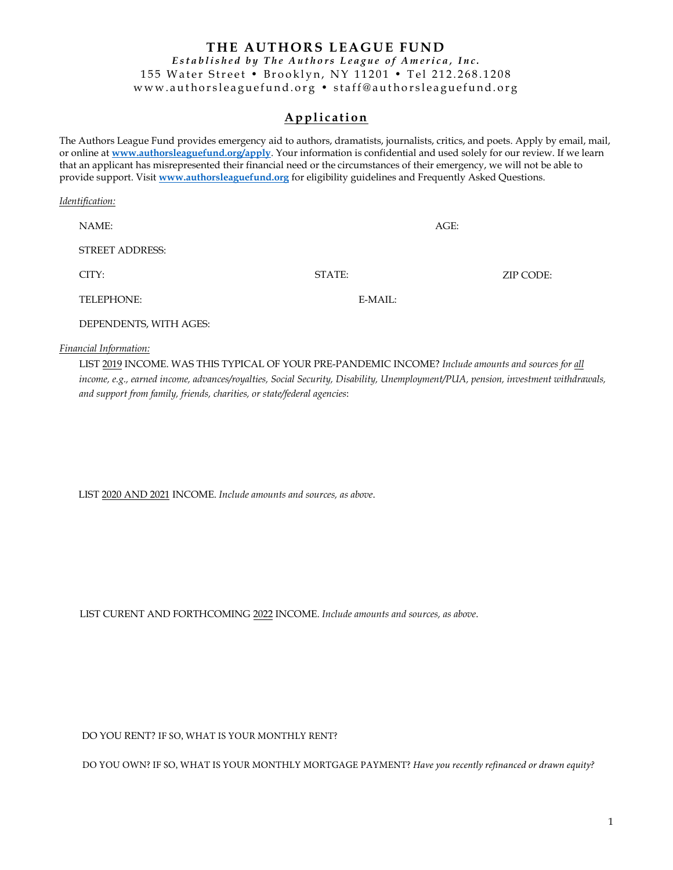# **THE AUTHORS LEAGUE FUND** *Estab lished by The Authors League of America, Inc.* 155 Water Street • Brooklyn, NY 11201 • Tel 212.268.1208 www.authorsleaguefund.org • staff@authorsleaguefund.org

# **A p p l i c at i o n**

The Authors League Fund provides emergency aid to authors, dramatists, journalists, critics, and poets. Apply by email, mail, or online at **[www.authorsleaguefund.org/apply](http://www.authorsleaguefund.org/apply)**. Your information is confidential and used solely for our review. If we learn that an applicant has misrepresented their financial need or the circumstances of their emergency, we will not be able to provide support. Visit **[www.authorsleaguefund.org](http://www.authorsleaguefund.org/)** for eligibility guidelines and Frequently Asked Questions.

| Identification: |                        |                  |      |           |
|-----------------|------------------------|------------------|------|-----------|
|                 | NAME:                  |                  | AGE: |           |
|                 | <b>STREET ADDRESS:</b> |                  |      |           |
|                 | CITY:                  | STATE:           |      | ZIP CODE: |
|                 | <b>TELEPHONE:</b>      | $E\text{-}MAIL:$ |      |           |
|                 | DEPENDENTS, WITH AGES: |                  |      |           |

*Financial Information:*

LIST 2019 INCOME. WAS THIS TYPICAL OF YOUR PRE-PANDEMIC INCOME? *Include amounts and sources for all income, e.g., earned income, advances/royalties, Social Security, Disability, Unemployment/PUA, pension, investment withdrawals, and support from family, friends, charities, or state/federal agencies*:

LIST 2020 AND 2021 INCOME. *Include amounts and sources, as above*.

LIST CURENT AND FORTHCOMING 2022 INCOME. *Include amounts and sources, as above*.

DO YOU RENT? IF SO, WHAT IS YOUR MONTHLY RENT?

DO YOU OWN? IF SO, WHAT IS YOUR MONTHLY MORTGAGE PAYMENT? *Have you recently refinanced or drawn equity?*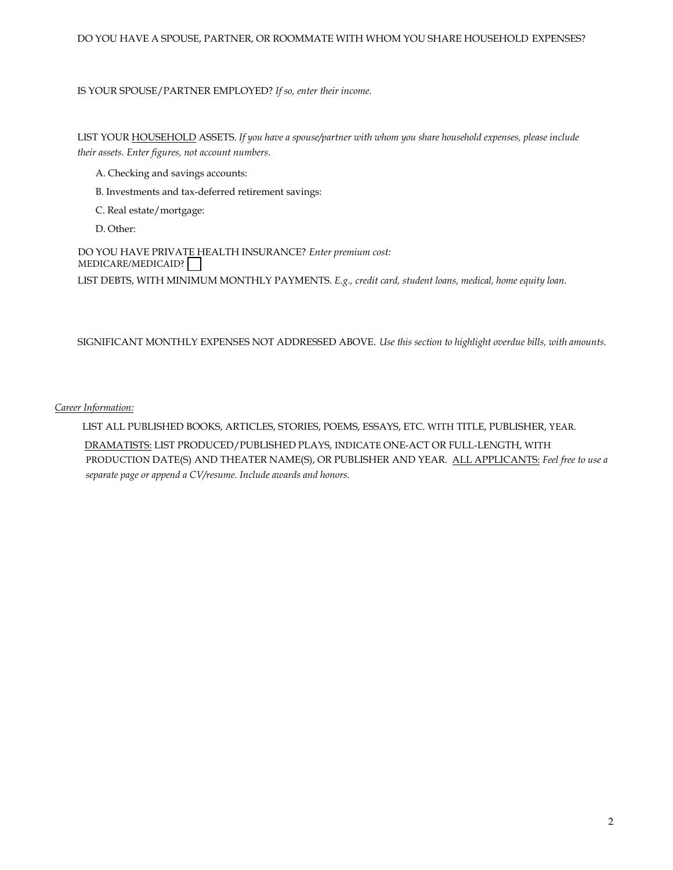#### IS YOUR SPOUSE/PARTNER EMPLOYED? *If so, enter their income.*

LIST YOUR HOUSEHOLD ASSETS. *If you have a spouse/partner with whom you share household expenses, please include their assets. Enter figures, not account numbers*.

- A. Checking and savings accounts:
- B. Investments and tax-deferred retirement savings:
- C. Real estate/mortgage:
- D. Other:

DO YOU HAVE PRIVATE HEALTH INSURANCE? *Enter premium cost:* MEDICARE/MEDICAID? LIST DEBTS, WITH MINIMUM MONTHLY PAYMENTS. *E.g., credit card, student loans, medical, home equity loan*.

SIGNIFICANT MONTHLY EXPENSES NOT ADDRESSED ABOVE. *Use this section to highlight overdue bills, with amounts.*

## *Career Information:*

LIST ALL PUBLISHED BOOKS, ARTICLES, STORIES, POEMS, ESSAYS, ETC. WITH TITLE, PUBLISHER, YEAR. DRAMATISTS: LIST PRODUCED/PUBLISHED PLAYS, INDICATE ONE-ACT OR FULL-LENGTH, WITH PRODUCTION DATE(S) AND THEATER NAME(S), OR PUBLISHER AND YEAR. ALL APPLICANTS: *Feel free to use a separate page or append a CV/resume. Include awards and honors*.